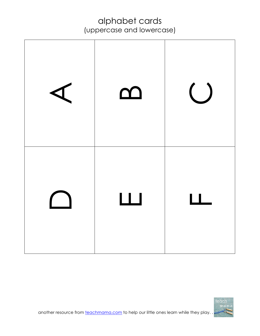| <u>ന</u>                              | $\bigcup$ |
|---------------------------------------|-----------|
| $\begin{array}{c} \hline \end{array}$ | $\Box$    |

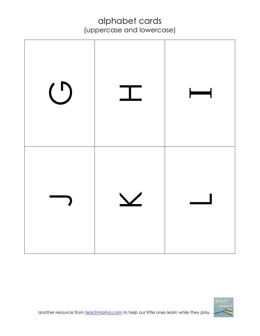

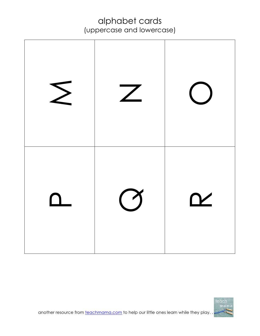| $\sum$ | $\mathsf{Z}$ |                                   |
|--------|--------------|-----------------------------------|
|        | $\bigcirc$   | $\boldsymbol{\underline{\gamma}}$ |

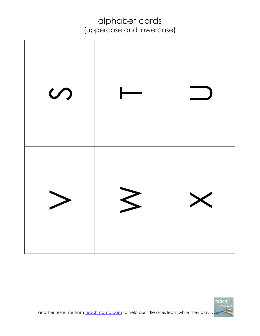

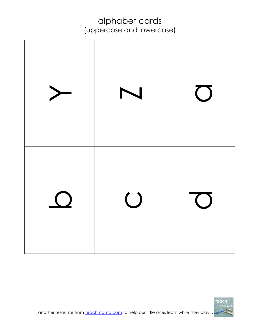

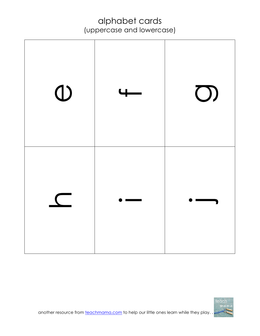| $\bigcirc$ | $\overline{\phantom{0}}$ | $\bigcirc$ |
|------------|--------------------------|------------|
|            |                          |            |

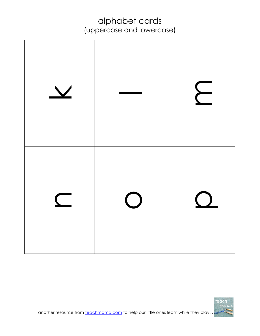

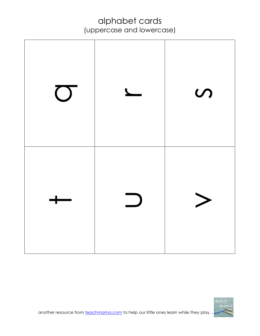